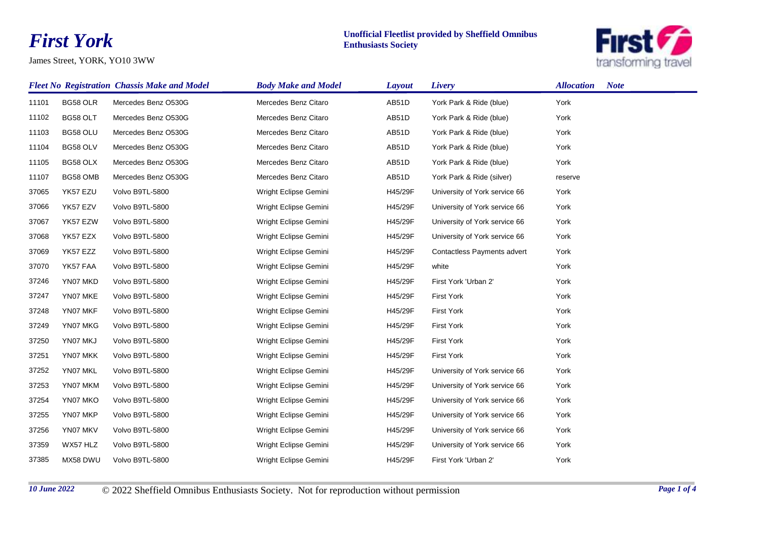## *First York*

James Street, YORK, YO10 3WW

## **Unofficial Fleetlist provided by Sheffield Omnibus Enthusiasts Society**



|       | <b>Fleet No Registration Chassis Make and Model</b> |                     | <b>Body Make and Model</b> | <b>Layout</b> | Livery                             | <b>Allocation</b><br><b>Note</b> |
|-------|-----------------------------------------------------|---------------------|----------------------------|---------------|------------------------------------|----------------------------------|
| 11101 | BG58 OLR                                            | Mercedes Benz O530G | Mercedes Benz Citaro       | AB51D         | York Park & Ride (blue)            | York                             |
| 11102 | BG58 OLT                                            | Mercedes Benz O530G | Mercedes Benz Citaro       | AB51D         | York Park & Ride (blue)            | York                             |
| 11103 | BG58 OLU                                            | Mercedes Benz O530G | Mercedes Benz Citaro       | AB51D         | York Park & Ride (blue)            | York                             |
| 11104 | BG58 OLV                                            | Mercedes Benz O530G | Mercedes Benz Citaro       | AB51D         | York Park & Ride (blue)            | York                             |
| 11105 | BG58 OLX                                            | Mercedes Benz O530G | Mercedes Benz Citaro       | AB51D         | York Park & Ride (blue)            | York                             |
| 11107 | BG58 OMB                                            | Mercedes Benz O530G | Mercedes Benz Citaro       | AB51D         | York Park & Ride (silver)          | reserve                          |
| 37065 | YK57 EZU                                            | Volvo B9TL-5800     | Wright Eclipse Gemini      | H45/29F       | University of York service 66      | York                             |
| 37066 | YK57 EZV                                            | Volvo B9TL-5800     | Wright Eclipse Gemini      | H45/29F       | University of York service 66      | York                             |
| 37067 | YK57 EZW                                            | Volvo B9TL-5800     | Wright Eclipse Gemini      | H45/29F       | University of York service 66      | York                             |
| 37068 | YK57 EZX                                            | Volvo B9TL-5800     | Wright Eclipse Gemini      | H45/29F       | University of York service 66      | York                             |
| 37069 | YK57 EZZ                                            | Volvo B9TL-5800     | Wright Eclipse Gemini      | H45/29F       | <b>Contactless Payments advert</b> | York                             |
| 37070 | YK57 FAA                                            | Volvo B9TL-5800     | Wright Eclipse Gemini      | H45/29F       | white                              | York                             |
| 37246 | YN07 MKD                                            | Volvo B9TL-5800     | Wright Eclipse Gemini      | H45/29F       | First York 'Urban 2'               | York                             |
| 37247 | YN07 MKE                                            | Volvo B9TL-5800     | Wright Eclipse Gemini      | H45/29F       | <b>First York</b>                  | York                             |
| 37248 | YN07 MKF                                            | Volvo B9TL-5800     | Wright Eclipse Gemini      | H45/29F       | <b>First York</b>                  | York                             |
| 37249 | YN07 MKG                                            | Volvo B9TL-5800     | Wright Eclipse Gemini      | H45/29F       | <b>First York</b>                  | York                             |
| 37250 | YN07 MKJ                                            | Volvo B9TL-5800     | Wright Eclipse Gemini      | H45/29F       | <b>First York</b>                  | York                             |
| 37251 | YN07 MKK                                            | Volvo B9TL-5800     | Wright Eclipse Gemini      | H45/29F       | <b>First York</b>                  | York                             |
| 37252 | YN07 MKL                                            | Volvo B9TL-5800     | Wright Eclipse Gemini      | H45/29F       | University of York service 66      | York                             |
| 37253 | YN07 MKM                                            | Volvo B9TL-5800     | Wright Eclipse Gemini      | H45/29F       | University of York service 66      | York                             |
| 37254 | YN07 MKO                                            | Volvo B9TL-5800     | Wright Eclipse Gemini      | H45/29F       | University of York service 66      | York                             |
| 37255 | YN07 MKP                                            | Volvo B9TL-5800     | Wright Eclipse Gemini      | H45/29F       | University of York service 66      | York                             |
| 37256 | YN07 MKV                                            | Volvo B9TL-5800     | Wright Eclipse Gemini      | H45/29F       | University of York service 66      | York                             |
| 37359 | WX57 HLZ                                            | Volvo B9TL-5800     | Wright Eclipse Gemini      | H45/29F       | University of York service 66      | York                             |
| 37385 | MX58 DWU                                            | Volvo B9TL-5800     | Wright Eclipse Gemini      | H45/29F       | First York 'Urban 2'               | York                             |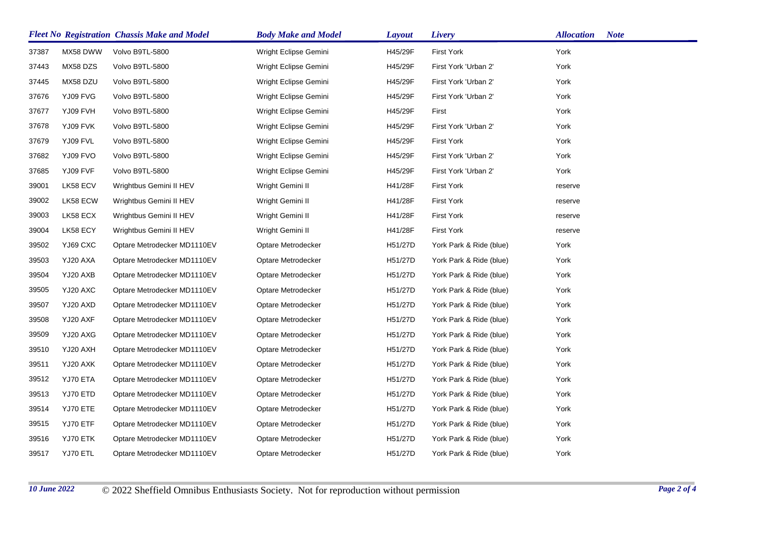|       |          | <b>Fleet No Registration Chassis Make and Model</b> | <b>Body Make and Model</b> | <b>Layout</b> | Livery                  | <b>Allocation</b><br><b>Note</b> |
|-------|----------|-----------------------------------------------------|----------------------------|---------------|-------------------------|----------------------------------|
| 37387 | MX58 DWW | Volvo B9TL-5800                                     | Wright Eclipse Gemini      | H45/29F       | <b>First York</b>       | York                             |
| 37443 | MX58 DZS | Volvo B9TL-5800                                     | Wright Eclipse Gemini      | H45/29F       | First York 'Urban 2'    | York                             |
| 37445 | MX58 DZU | Volvo B9TL-5800                                     | Wright Eclipse Gemini      | H45/29F       | First York 'Urban 2'    | York                             |
| 37676 | YJ09 FVG | Volvo B9TL-5800                                     | Wright Eclipse Gemini      | H45/29F       | First York 'Urban 2'    | York                             |
| 37677 | YJ09 FVH | Volvo B9TL-5800                                     | Wright Eclipse Gemini      | H45/29F       | First                   | York                             |
| 37678 | YJ09 FVK | Volvo B9TL-5800                                     | Wright Eclipse Gemini      | H45/29F       | First York 'Urban 2'    | York                             |
| 37679 | YJ09 FVL | Volvo B9TL-5800                                     | Wright Eclipse Gemini      | H45/29F       | <b>First York</b>       | York                             |
| 37682 | YJ09 FVO | Volvo B9TL-5800                                     | Wright Eclipse Gemini      | H45/29F       | First York 'Urban 2'    | York                             |
| 37685 | YJ09 FVF | Volvo B9TL-5800                                     | Wright Eclipse Gemini      | H45/29F       | First York 'Urban 2'    | York                             |
| 39001 | LK58 ECV | Wrightbus Gemini II HEV                             | Wright Gemini II           | H41/28F       | <b>First York</b>       | reserve                          |
| 39002 | LK58 ECW | Wrightbus Gemini II HEV                             | Wright Gemini II           | H41/28F       | <b>First York</b>       | reserve                          |
| 39003 | LK58 ECX | Wrightbus Gemini II HEV                             | Wright Gemini II           | H41/28F       | <b>First York</b>       | reserve                          |
| 39004 | LK58 ECY | Wrightbus Gemini II HEV                             | Wright Gemini II           | H41/28F       | <b>First York</b>       | reserve                          |
| 39502 | YJ69 CXC | Optare Metrodecker MD1110EV                         | Optare Metrodecker         | H51/27D       | York Park & Ride (blue) | York                             |
| 39503 | YJ20 AXA | Optare Metrodecker MD1110EV                         | Optare Metrodecker         | H51/27D       | York Park & Ride (blue) | York                             |
| 39504 | YJ20 AXB | Optare Metrodecker MD1110EV                         | Optare Metrodecker         | H51/27D       | York Park & Ride (blue) | York                             |
| 39505 | YJ20 AXC | Optare Metrodecker MD1110EV                         | Optare Metrodecker         | H51/27D       | York Park & Ride (blue) | York                             |
| 39507 | YJ20 AXD | Optare Metrodecker MD1110EV                         | Optare Metrodecker         | H51/27D       | York Park & Ride (blue) | York                             |
| 39508 | YJ20 AXF | Optare Metrodecker MD1110EV                         | Optare Metrodecker         | H51/27D       | York Park & Ride (blue) | York                             |
| 39509 | YJ20 AXG | Optare Metrodecker MD1110EV                         | Optare Metrodecker         | H51/27D       | York Park & Ride (blue) | York                             |
| 39510 | YJ20 AXH | Optare Metrodecker MD1110EV                         | Optare Metrodecker         | H51/27D       | York Park & Ride (blue) | York                             |
| 39511 | YJ20 AXK | Optare Metrodecker MD1110EV                         | Optare Metrodecker         | H51/27D       | York Park & Ride (blue) | York                             |
| 39512 | YJ70 ETA | Optare Metrodecker MD1110EV                         | Optare Metrodecker         | H51/27D       | York Park & Ride (blue) | York                             |
| 39513 | YJ70 ETD | Optare Metrodecker MD1110EV                         | Optare Metrodecker         | H51/27D       | York Park & Ride (blue) | York                             |
| 39514 | YJ70 ETE | Optare Metrodecker MD1110EV                         | Optare Metrodecker         | H51/27D       | York Park & Ride (blue) | York                             |
| 39515 | YJ70 ETF | Optare Metrodecker MD1110EV                         | Optare Metrodecker         | H51/27D       | York Park & Ride (blue) | York                             |
| 39516 | YJ70 ETK | Optare Metrodecker MD1110EV                         | Optare Metrodecker         | H51/27D       | York Park & Ride (blue) | York                             |
| 39517 | YJ70 ETL | Optare Metrodecker MD1110EV                         | Optare Metrodecker         | H51/27D       | York Park & Ride (blue) | York                             |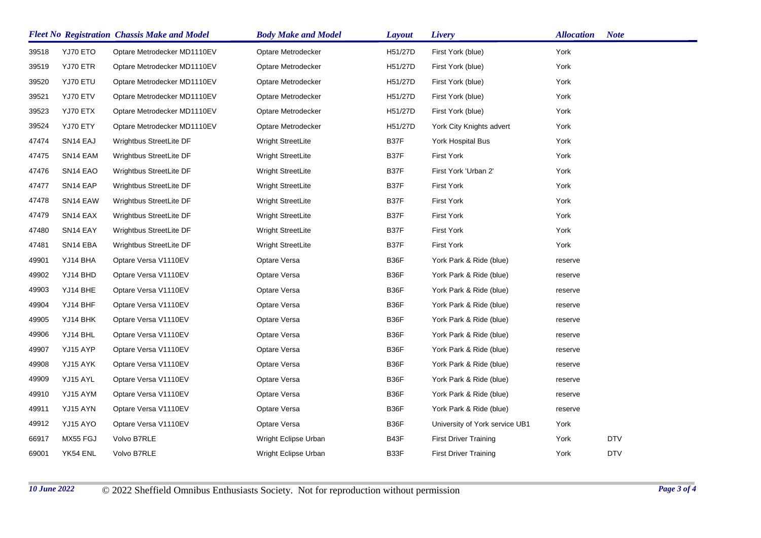| <b>Fleet No Registration Chassis Make and Model</b> |                      |                             | <b>Body Make and Model</b> | <b>Layout</b> | Livery                         | <b>Allocation</b> | <b>Note</b> |
|-----------------------------------------------------|----------------------|-----------------------------|----------------------------|---------------|--------------------------------|-------------------|-------------|
| 39518                                               | YJ70 ETO             | Optare Metrodecker MD1110EV | Optare Metrodecker         | H51/27D       | First York (blue)              | York              |             |
| 39519                                               | YJ70 ETR             | Optare Metrodecker MD1110EV | Optare Metrodecker         | H51/27D       | First York (blue)              | York              |             |
| 39520                                               | YJ70 ETU             | Optare Metrodecker MD1110EV | Optare Metrodecker         | H51/27D       | First York (blue)              | York              |             |
| 39521                                               | YJ70 ETV             | Optare Metrodecker MD1110EV | Optare Metrodecker         | H51/27D       | First York (blue)              | York              |             |
| 39523                                               | YJ70 ETX             | Optare Metrodecker MD1110EV | Optare Metrodecker         | H51/27D       | First York (blue)              | York              |             |
| 39524                                               | YJ70 ETY             | Optare Metrodecker MD1110EV | Optare Metrodecker         | H51/27D       | York City Knights advert       | York              |             |
| 47474                                               | SN14 EAJ             | Wrightbus StreetLite DF     | Wright StreetLite          | B37F          | York Hospital Bus              | York              |             |
| 47475                                               | SN14 EAM             | Wrightbus StreetLite DF     | Wright StreetLite          | B37F          | First York                     | York              |             |
| 47476                                               | SN <sub>14</sub> EAO | Wrightbus StreetLite DF     | Wright StreetLite          | B37F          | First York 'Urban 2'           | York              |             |
| 47477                                               | SN14 EAP             | Wrightbus StreetLite DF     | Wright StreetLite          | B37F          | <b>First York</b>              | York              |             |
| 47478                                               | SN14 EAW             | Wrightbus StreetLite DF     | Wright StreetLite          | B37F          | <b>First York</b>              | York              |             |
| 47479                                               | SN14 EAX             | Wrightbus StreetLite DF     | Wright StreetLite          | B37F          | <b>First York</b>              | York              |             |
| 47480                                               | SN <sub>14</sub> EAY | Wrightbus StreetLite DF     | Wright StreetLite          | B37F          | <b>First York</b>              | York              |             |
| 47481                                               | SN14 EBA             | Wrightbus StreetLite DF     | <b>Wright StreetLite</b>   | B37F          | <b>First York</b>              | York              |             |
| 49901                                               | YJ14 BHA             | Optare Versa V1110EV        | Optare Versa               | B36F          | York Park & Ride (blue)        | reserve           |             |
| 49902                                               | YJ14 BHD             | Optare Versa V1110EV        | Optare Versa               | B36F          | York Park & Ride (blue)        | reserve           |             |
| 49903                                               | YJ14 BHE             | Optare Versa V1110EV        | Optare Versa               | B36F          | York Park & Ride (blue)        | reserve           |             |
| 49904                                               | YJ14 BHF             | Optare Versa V1110EV        | Optare Versa               | B36F          | York Park & Ride (blue)        | reserve           |             |
| 49905                                               | YJ14 BHK             | Optare Versa V1110EV        | Optare Versa               | B36F          | York Park & Ride (blue)        | reserve           |             |
| 49906                                               | YJ14 BHL             | Optare Versa V1110EV        | Optare Versa               | B36F          | York Park & Ride (blue)        | reserve           |             |
| 49907                                               | YJ15 AYP             | Optare Versa V1110EV        | Optare Versa               | B36F          | York Park & Ride (blue)        | reserve           |             |
| 49908                                               | YJ15 AYK             | Optare Versa V1110EV        | Optare Versa               | B36F          | York Park & Ride (blue)        | reserve           |             |
| 49909                                               | YJ15 AYL             | Optare Versa V1110EV        | Optare Versa               | B36F          | York Park & Ride (blue)        | reserve           |             |
| 49910                                               | YJ15 AYM             | Optare Versa V1110EV        | Optare Versa               | B36F          | York Park & Ride (blue)        | reserve           |             |
| 49911                                               | YJ15 AYN             | Optare Versa V1110EV        | Optare Versa               | B36F          | York Park & Ride (blue)        | reserve           |             |
| 49912                                               | YJ15 AYO             | Optare Versa V1110EV        | Optare Versa               | B36F          | University of York service UB1 | York              |             |
| 66917                                               | MX55 FGJ             | Volvo B7RLE                 | Wright Eclipse Urban       | B43F          | <b>First Driver Training</b>   | York              | DTV         |
| 69001                                               | YK54 ENL             | Volvo B7RLE                 | Wright Eclipse Urban       | B33F          | <b>First Driver Training</b>   | York              | <b>DTV</b>  |